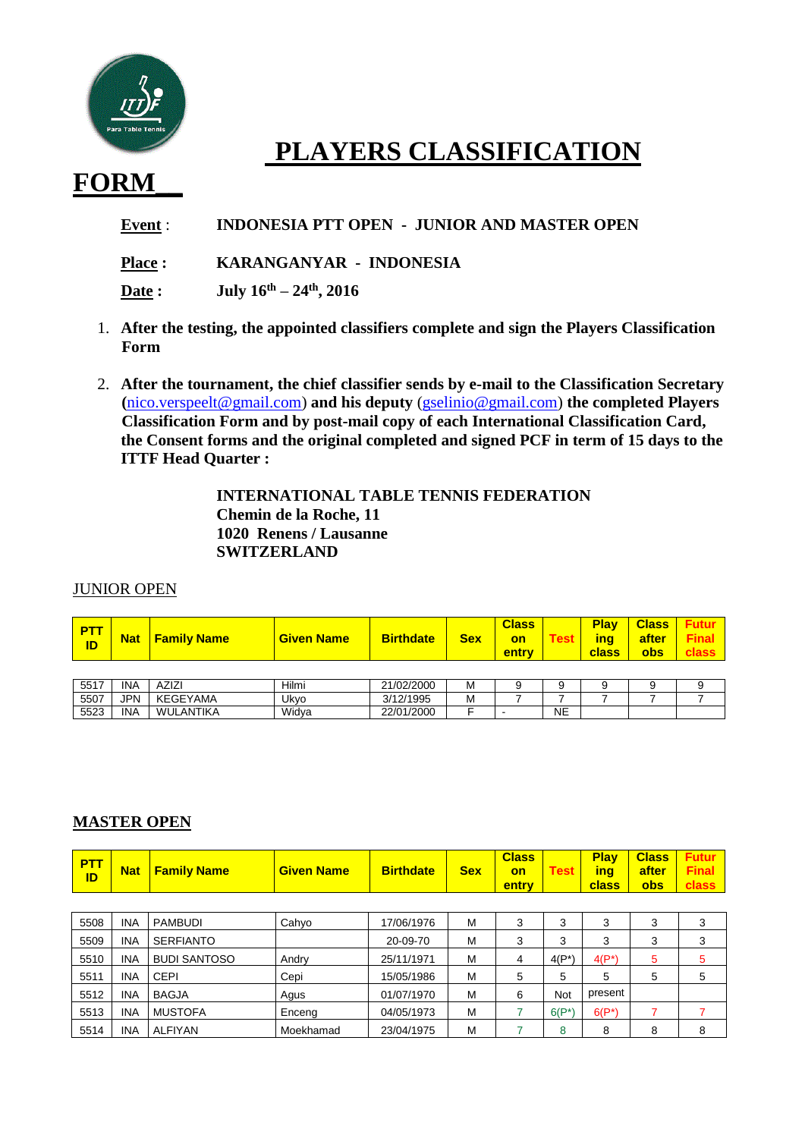

## **PLAYERS CLASSIFICATION**

## **FORM\_\_**

**Event** : **INDONESIA PTT OPEN - JUNIOR AND MASTER OPEN**

**Place : KARANGANYAR - INDONESIA**

**Date : July 16th – 24th, 2016**

- 1. **After the testing, the appointed classifiers complete and sign the Players Classification Form**
- 2. **After the tournament, the chief classifier sends by e-mail to the Classification Secretary (**[nico.verspeelt@gmail.com\)](mailto:nico.verspeelt@gmail.com) **and his deputy** [\(gselinio@gmail.com\)](mailto:gselinio@gmail.com) **the completed Players Classification Form and by post-mail copy of each International Classification Card, the Consent forms and the original completed and signed PCF in term of 15 days to the ITTF Head Quarter :**

**INTERNATIONAL TABLE TENNIS FEDERATION Chemin de la Roche, 11 1020 Renens / Lausanne SWITZERLAND**

## **JUNIOR OPEN**

| <mark>  PTT</mark><br><b>ID</b> | <b>Nat</b> | <b>Family Name</b> | <b>Given Name</b> | <b>Birthdate</b> | <b>Sex</b> | <b>Class</b><br><b>on</b><br><b>entry</b> | <b>Test</b> | <b>Play</b><br><b>class</b> | <b>obs</b> | <b>Class</b> Futur<br><b>ing</b> after Final |
|---------------------------------|------------|--------------------|-------------------|------------------|------------|-------------------------------------------|-------------|-----------------------------|------------|----------------------------------------------|
|                                 |            |                    |                   |                  |            |                                           |             |                             |            |                                              |

| <b>EE17</b><br>ບບ | <b>INA</b> | <b>AZIZI</b>                | .<br>Hilmi | 21/02/2000     | ΙVΙ |           |  |  |
|-------------------|------------|-----------------------------|------------|----------------|-----|-----------|--|--|
| 5507              | <b>IPN</b> | <b>GEYAMA</b><br>$\epsilon$ | Ukvo       | 3/12/1995      | ΙVΙ |           |  |  |
| 5523              | <b>INA</b> | _ANTIKA<br>WI               | Widva      | 22/01<br>/2000 |     | <b>NE</b> |  |  |

## **MASTER OPEN**

| <b>PTT</b><br>ID | <b>Nat</b> | <b>Family Name</b>  | <b>Given Name</b> | <b>Birthdate</b> | <b>Sex</b> | <b>Class</b><br>on<br>entry | <b>Test</b> | <b>Play</b><br>ing<br>class | <b>Class</b><br>after<br>obs | <b>Futur</b><br><b>Final</b><br>class |
|------------------|------------|---------------------|-------------------|------------------|------------|-----------------------------|-------------|-----------------------------|------------------------------|---------------------------------------|
|                  |            |                     |                   |                  |            |                             |             |                             |                              |                                       |
| 5508             | <b>INA</b> | <b>PAMBUDI</b>      | Cahyo             | 17/06/1976       | M          | 3                           | 3           | 3                           | 3                            | 3                                     |
| 5509             | <b>INA</b> | <b>SERFIANTO</b>    |                   | 20-09-70         | M          | 3                           | 3           | 3                           | 3                            | 3                                     |
| 5510             | <b>INA</b> | <b>BUDI SANTOSO</b> | Andry             | 25/11/1971       | M          | 4                           | $4(P^*)$    | $4(P^*)$                    | 5                            | 5                                     |
| 5511             | <b>INA</b> | <b>CEPI</b>         | Cepi              | 15/05/1986       | M          | 5                           | 5           | 5                           | 5                            | 5                                     |
| 5512             | <b>INA</b> | <b>BAGJA</b>        | Agus              | 01/07/1970       | M          | 6                           | <b>Not</b>  | present                     |                              |                                       |
| 5513             | <b>INA</b> | <b>MUSTOFA</b>      | Enceng            | 04/05/1973       | M          |                             | $6(P^*)$    | $6(P^*)$                    | 7                            |                                       |
| 5514             | <b>INA</b> | <b>ALFIYAN</b>      | Moekhamad         | 23/04/1975       | M          |                             | 8           | 8                           | 8                            | 8                                     |